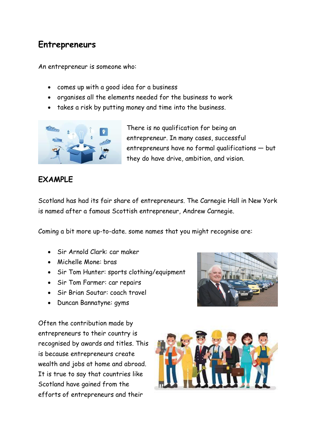# **Entrepreneurs**

An entrepreneur is someone who:

- comes up with a good idea for a business
- organises all the elements needed for the business to work
- takes a risk by putting money and time into the business.



There is no qualification for being an entrepreneur. In many cases, successful entrepreneurs have no formal qualifications — but they do have drive, ambition, and vision.

## **EXAMPLE**

Scotland has had its fair share of entrepreneurs. The Carnegie Hall in New York is named after a famous Scottish entrepreneur, Andrew Carnegie.

Coming a bit more up-to-date. some names that you might recognise are:

- Sir Arnold Clark: car maker
- Michelle Mone: bras
- Sir Tom Hunter: sports clothing/equipment
- Sir Tom Farmer: car repairs
- Sir Brian Soutar: coach travel
- Duncan Bannatyne: gyms

Often the contribution made by entrepreneurs to their country is recognised by awards and titles. This is because entrepreneurs create wealth and jobs at home and abroad. It is true to say that countries like Scotland have gained from the efforts of entrepreneurs and their



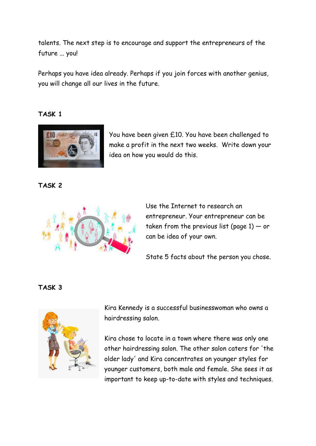talents. The next step is to encourage and support the entrepreneurs of the future ... you!

Perhaps you have idea already. Perhaps if you join forces with another genius, you will change all our lives in the future.

#### **TASK 1**



You have been given £10. You have been challenged to make a profit in the next two weeks. Write down your idea on how you would do this.

**TASK 2**



Use the Internet to research an entrepreneur. Your entrepreneur can be taken from the previous list (page  $1$ )  $-$  or can be idea of your own.

State 5 facts about the person you chose.

#### **TASK 3**



Kira Kennedy is a successful businesswoman who owns a hairdressing salon.

Kira chose to locate in a town where there was only one other hairdressing salon. The other salon caters for 'the older lady' and Kira concentrates on younger styles for younger customers, both male and female. She sees it as important to keep up-to-date with styles and techniques.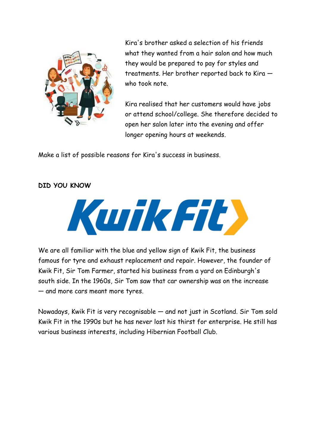

Kira's brother asked a selection of his friends what they wanted from a hair salon and how much they would be prepared to pay for styles and treatments. Her brother reported back to Kira who took note.

Kira realised that her customers would have jobs or attend school/college. She therefore decided to open her salon later into the evening and offer longer opening hours at weekends.

Make a list of possible reasons for Kira's success in business.

#### **DID YOU KNOW**



We are all familiar with the blue and yellow sign of Kwik Fit, the business famous for tyre and exhaust replacement and repair. However, the founder of Kwik Fit, Sir Tom Farmer, started his business from a yard on Edinburgh's south side. In the 1960s, Sir Tom saw that car ownership was on the increase — and more cars meant more tyres.

Nowadays, Kwik Fit is very recognisable — and not just in Scotland. Sir Tom sold Kwik Fit in the 1990s but he has never lost his thirst for enterprise. He still has various business interests, including Hibernian Football Club.